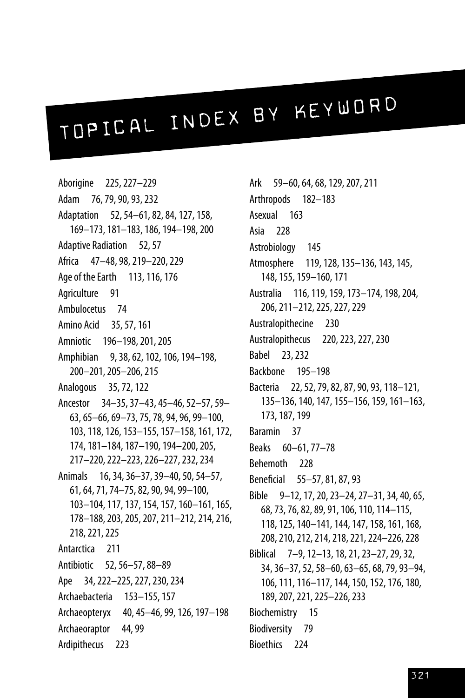## TOPICAL INDEX BY KEYWORD

Aborigine 225,227–229 Adam 76,79,90,93,232 Adaptation 52,54–61,82,84,127,158, 169–173,181–183,186,194–198,200 Adaptive Radiation 52,57 Africa 47–48,98,219–220,229 Age of the Earth 113, 116, 176 Agriculture 91 Ambulocetus 74 Amino Acid 35,57,161 Amniotic 196-198, 201, 205 Amphibian 9,38,62,102,106,194–198, 200–201,205–206,215 Analogous 35,72,122 Ancestor 34–35,37–43,45–46,52–57,59– 63,65–66,69–73,75,78,94,96,99–100, 103,118,126,153–155,157–158,161,172, 174,181–184,187–190,194–200,205, 217–220,222–223,226–227,232,234 Animals 16,34,36–37,39–40,50,54–57, 61,64,71,74–75,82,90,94,99–100, 103–104,117,137,154,157,160–161,165, 178–188,203,205,207,211–212,214,216, 218,221,225 Antarctica 211 Antibiotic 52,56–57,88–89 Ape 34, 222-225, 227, 230, 234 Archaebacteria 153–155,157 Archaeopteryx 40,45–46,99,126,197–198 Archaeoraptor 44,99 Ardipithecus 223

Ark 59–60,64,68,129,207,211 Arthropods 182–183 Asexual 163 Asia 228 Astrobiology 145 Atmosphere 119,128,135–136,143,145, 148,155,159–160,171 Australia 116,119,159,173–174,198,204, 206,211–212,225,227,229 Australopithecine 230 Australopithecus 220,223,227,230 Babel 23,232 Backbone 195–198 Bacteria 22,52,79,82,87,90,93,118–121, 135–136,140,147,155–156,159,161–163, 173,187,199 Baramin 37 Beaks 60–61,77–78 Behemoth 228 Beneficial 55–57,81,87,93 Bible 9–12,17,20,23–24,27–31,34,40,65, 68,73,76,82,89,91,106,110,114–115, 118,125,140–141,144,147,158,161,168, 208,210,212,214,218,221,224–226,228 Biblical 7–9,12–13,18,21,23–27,29,32, 34,36–37,52,58–60,63–65,68,79,93–94, 106,111,116–117,144,150,152,176,180, 189,207,221,225–226,233 Biochemistry 15 Biodiversity 79 Bioethics 224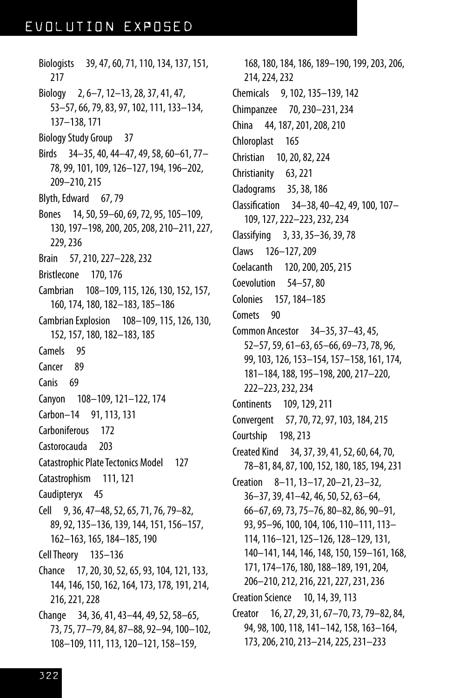Biologists 39,47,60,71,110,134,137,151, 217 Biology 2,6–7,12–13,28,37,41,47, 53–57,66,79,83,97,102,111,133–134, 137–138,171 Biology Study Group 37 Birds 34–35,40,44–47,49,58,60–61,77– 78,99,101,109,126–127,194,196–202, 209–210,215 Blyth, Edward 67, 79 Bones 14,50,59–60,69,72,95,105–109, 130,197–198,200,205,208,210–211,227, 229,236 Brain 57,210,227–228,232 Bristlecone 170,176 Cambrian 108-109, 115, 126, 130, 152, 157, 160,174,180,182–183,185–186 Cambrian Explosion 108–109,115,126,130, 152,157,180,182–183,185 Camels 95 Cancer 89 Canis 69 Canyon 108–109,121–122,174 Carbon–14 91,113,131 Carboniferous 172 Castorocauda 203 Catastrophic Plate Tectonics Model 127 Catastrophism 111,121 Caudipteryx 45 Cell 9,36,47–48,52,65,71,76,79–82, 89,92,135–136,139,144,151,156–157, 162–163,165,184–185,190 CellTheory 135–136 Chance 17,20,30,52,65,93,104,121,133, 144,146,150,162,164,173,178,191,214, 216,221,228 Change 34,36,41,43–44,49,52,58–65, 73,75,77–79,84,87–88,92–94,100–102,

108–109,111,113,120–121,158–159,

168,180,184,186,189–190,199,203,206, 214,224,232 Chemicals 9,102,135–139,142 Chimpanzee 70,230–231,234 China 44,187,201,208,210 Chloroplast 165 Christian 10,20,82,224 Christianity 63,221 Cladograms 35,38,186 Classification 34–38,40–42,49,100,107– 109,127,222–223,232,234 Classifying 3,33,35–36,39,78 Claws 126–127,209 Coelacanth 120, 200, 205, 215 Coevolution 54–57,80 Colonies 157,184–185 Comets 90 Common Ancestor 34–35,37–43,45, 52–57,59,61–63,65–66,69–73,78,96, 99,103,126,153–154,157–158,161,174, 181–184,188,195–198,200,217–220, 222–223,232,234 Continents 109,129,211 Convergent 57,70,72,97,103,184,215 Courtship 198, 213 Created Kind 34,37,39,41,52,60,64,70, 78–81,84,87,100,152,180,185,194,231 Creation 8–11,13–17,20–21,23–32, 36–37,39,41–42,46,50,52,63–64, 66–67,69,73,75–76,80–82,86,90–91, 93,95–96,100,104,106,110–111,113– 114,116–121,125–126,128–129,131, 140–141,144,146,148,150,159–161,168, 171,174–176,180,188–189,191,204, 206–210,212,216,221,227,231,236 Creation Science 10,14,39,113 Creator 16,27,29,31,67–70,73,79–82,84, 94,98,100,118,141–142,158,163–164, 173,206,210,213–214,225,231–233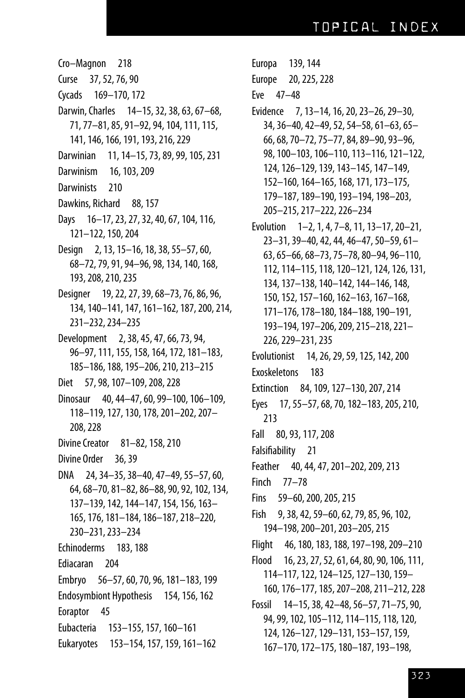Cro-Magnon 218 37, 52, 76, 90 Curse Cycads 169–170, 172 Darwin, Charles 14-15, 32, 38, 63, 67-68, 71, 77-81, 85, 91-92, 94, 104, 111, 115, 141, 146, 166, 191, 193, 216, 229 Darwinian 11, 14–15, 73, 89, 99, 105, 231 Darwinism 16, 103, 209 **Darwinists** 210 Dawkins, Richard 88, 157 Days 16-17, 23, 27, 32, 40, 67, 104, 116, 121-122, 150, 204 Design 2, 13, 15-16, 18, 38, 55-57, 60, 68-72, 79, 91, 94-96, 98, 134, 140, 168, 193, 208, 210, 235 Designer 19, 22, 27, 39, 68–73, 76, 86, 96, 134, 140-141, 147, 161-162, 187, 200, 214, 231-232, 234-235 Development 2, 38, 45, 47, 66, 73, 94, 96-97, 111, 155, 158, 164, 172, 181-183, 185-186, 188, 195-206, 210, 213-215 Diet 57, 98, 107-109, 208, 228 Dinosaur 40, 44-47, 60, 99-100, 106-109, 118-119, 127, 130, 178, 201-202, 207-208, 228 **Divine Creator** 81-82, 158, 210 Divine Order 36, 39 DNA 24, 34 - 35, 38 - 40, 47 - 49, 55 - 57, 60, 64, 68-70, 81-82, 86-88, 90, 92, 102, 134, 137-139, 142, 144-147, 154, 156, 163-165, 176, 181-184, 186-187, 218-220, 230-231, 233-234 Echinoderms 183, 188 Ediacaran 204 Embryo 56-57, 60, 70, 96, 181-183, 199 Endosymbiont Hypothesis 154, 156, 162 Eoraptor 45 Eubacteria 153-155, 157, 160-161 Eukaryotes 153-154, 157, 159, 161-162

Europa 139, 144 Europe 20, 225, 228 Eve 47-48 Evidence 7, 13-14, 16, 20, 23-26, 29-30, 34, 36-40, 42-49, 52, 54-58, 61-63, 65-66, 68, 70-72, 75-77, 84, 89-90, 93-96, 98, 100-103, 106-110, 113-116, 121-122, 124, 126-129, 139, 143-145, 147-149, 152-160, 164-165, 168, 171, 173-175, 179-187, 189-190, 193-194, 198-203, 205-215, 217-222, 226-234 Evolution 1-2, 1, 4, 7-8, 11, 13-17, 20-21, 23-31, 39-40, 42, 44, 46-47, 50-59, 61-63, 65-66, 68-73, 75-78, 80-94, 96-110, 112, 114-115, 118, 120-121, 124, 126, 131, 134, 137-138, 140-142, 144-146, 148, 150, 152, 157-160, 162-163, 167-168, 171-176, 178-180, 184-188, 190-191, 193-194, 197-206, 209, 215-218, 221-226, 229 - 231, 235 Evolutionist 14, 26, 29, 59, 125, 142, 200 Exoskeletons 183 Extinction 84, 109, 127-130, 207, 214 Eyes 17, 55-57, 68, 70, 182-183, 205, 210, 213 Fall 80, 93, 117, 208 Falsifiability 21 Feather 40, 44, 47, 201-202, 209, 213 Finch 77-78 Fins 59-60, 200, 205, 215 Fish 9, 38, 42, 59-60, 62, 79, 85, 96, 102, 194-198, 200-201, 203-205, 215 Flight 46, 180, 183, 188, 197-198, 209-210 16, 23, 27, 52, 61, 64, 80, 90, 106, 111, Flood 114-117, 122, 124-125, 127-130, 159-160, 176-177, 185, 207-208, 211-212, 228 Fossil 14-15, 38, 42-48, 56-57, 71-75, 90, 94, 99, 102, 105-112, 114-115, 118, 120, 124, 126-127, 129-131, 153-157, 159,

167-170, 172-175, 180-187, 193-198,

323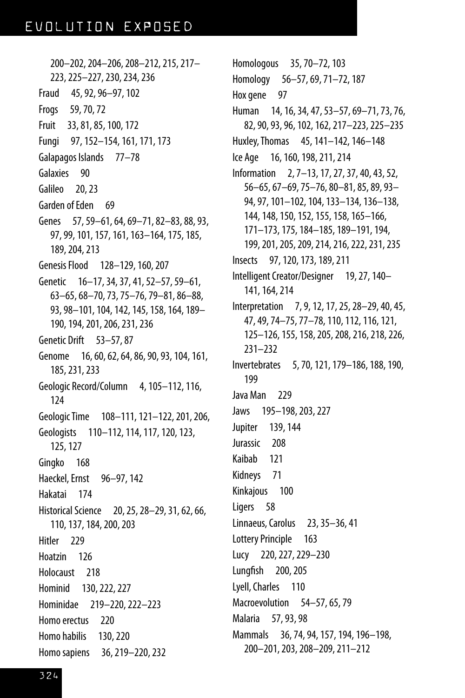200–202,204–206,208–212,215,217– 223,225–227,230,234,236 Fraud 45,92,96–97,102 Frogs 59,70,72 Fruit 33,81,85,100,172 Fungi 97,152–154,161,171,173 Galapagos Islands 77–78 Galaxies 90 Galileo 20, 23 Garden of Eden 69 Genes 57, 59-61, 64, 69-71, 82-83, 88, 93, 97,99,101,157,161,163–164,175,185, 189,204,213 GenesisFlood 128–129,160,207 Genetic 16–17, 34, 37, 41, 52–57, 59–61, 63–65,68–70,73,75–76,79–81,86–88, 93,98–101,104,142,145,158,164,189– 190,194,201,206,231,236 Genetic Drift 53–57,87 Genome 16, 60, 62, 64, 86, 90, 93, 104, 161, 185,231,233 Geologic Record/Column 4, 105-112, 116, 124 Geologic Time 108-111, 121-122, 201, 206, Geologists 110-112, 114, 117, 120, 123, 125,127 Gingko 168 Haeckel, Ernst 96-97, 142 Hakatai 174 Historical Science 20, 25, 28-29, 31, 62, 66, 110,137,184,200,203 Hitler 229 Hoatzin 126 Holocaust 218 Hominid 130,222,227 Hominidae 219–220,222–223 Homo erectus 220 Homo habilis 130, 220 Homo sapiens 36, 219–220, 232

Homologous 35,70–72,103 Homology 56–57,69,71–72,187 Hox gene 97 Human 14,16,34,47,53–57,69–71,73,76, 82,90,93,96,102,162,217–223,225–235 Huxley,Thomas 45,141–142,146–148 Ice Age 16,160,198,211,214 Information 2,7–13,17,27,37,40,43,52, 56–65,67–69,75–76,80–81,85,89,93– 94,97,101–102,104,133–134,136–138, 144,148,150,152,155,158,165–166, 171–173,175,184–185,189–191,194, 199,201,205,209,214,216,222,231,235 Insects 97,120,173,189,211 Intelligent Creator/Designer 19, 27, 140-141,164,214 Interpretation 7,9,12,17,25,28–29,40,45, 47,49,74–75,77–78,110,112,116,121, 125–126,155,158,205,208,216,218,226, 231–232 Invertebrates 5,70,121,179–186,188,190, 199 Java Man 229 Jaws 195–198,203,227 Jupiter 139,144 Jurassic 208 Kaibab 121 Kidneys 71 Kinkajous 100 Ligers 58 Linnaeus,Carolus 23,35–36,41 Lottery Principle 163 Lucy 220,227,229–230 Lungfish 200,205 Lyell, Charles 110 Macroevolution 54–57,65,79 Malaria 57,93,98 Mammals 36,74,94,157,194,196–198, 200–201,203,208–209,211–212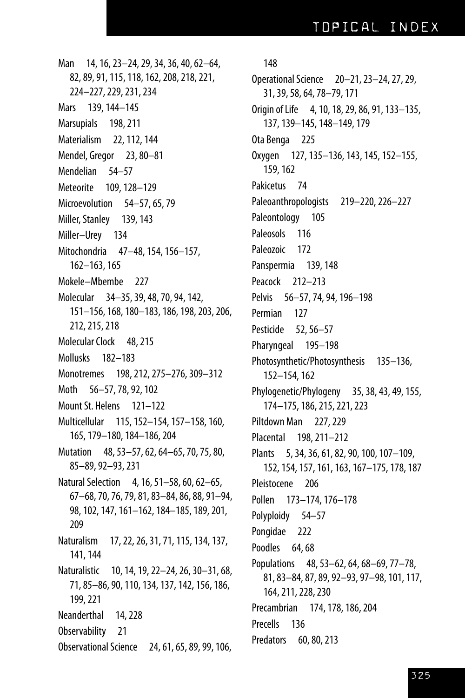Man 14,16,23–24,29,34,36,40,62–64, 82,89,91,115,118,162,208,218,221, 224–227,229,231,234 Mars 139,144–145 Marsupials 198, 211 Materialism 22,112,144 Mendel, Gregor 23,80–81 Mendelian 54–57 Meteorite 109,128–129 Microevolution 54–57,65,79 Miller, Stanley 139, 143 Miller–Urey 134 Mitochondria 47–48,154,156–157, 162–163,165 Mokele–Mbembe 227 Molecular 34–35,39,48,70,94,142, 151–156,168,180–183,186,198,203,206, 212,215,218 Molecular Clock 48, 215 Mollusks 182–183 Monotremes 198,212,275–276,309–312 Moth 56-57, 78, 92, 102 Mount St. Helens 121-122 Multicellular 115,152–154,157–158,160, 165,179–180,184–186,204 Mutation 48,53–57,62,64–65,70,75,80, 85–89,92–93,231 Natural Selection 4, 16, 51–58, 60, 62–65, 67–68,70,76,79,81,83–84,86,88,91–94, 98,102,147,161–162,184–185,189,201, 209 Naturalism 17,22,26,31,71,115,134,137, 141,144 Naturalistic 10,14,19,22–24,26,30–31,68, 71,85–86,90,110,134,137,142,156,186, 199,221 Neanderthal 14,228 Observability 21 ObservationalScience 24,61,65,89,99,106,

## 148

Operational Science 20-21, 23-24, 27, 29, 31,39,58,64,78–79,171 Origin ofLife 4,10,18,29,86,91,133–135, 137,139–145,148–149,179 Ota Benga 225 Oxygen 127,135–136,143,145,152–155, 159,162 Pakicetus 74 Paleoanthropologists 219-220, 226-227 Paleontology 105 Paleosols 116 Paleozoic 172 Panspermia 139, 148 Peacock 212–213 Pelvis 56–57, 74, 94, 196–198 Permian 127 Pesticide 52,56–57 Pharyngeal 195–198 Photosynthetic/Photosynthesis 135–136, 152–154,162 Phylogenetic/Phylogeny 35,38,43,49,155, 174–175,186,215,221,223 Piltdown Man 227, 229 Placental 198,211–212 Plants 5,34,36,61,82,90,100,107–109, 152,154,157,161,163,167–175,178,187 Pleistocene 206 Pollen 173–174,176–178 Polyploidy 54–57 Pongidae 222 Poodles 64,68 Populations 48,53–62,64,68–69,77–78, 81,83–84,87,89,92–93,97–98,101,117, 164,211,228,230 Precambrian 174,178,186,204 Precells 136 Predators 60, 80, 213